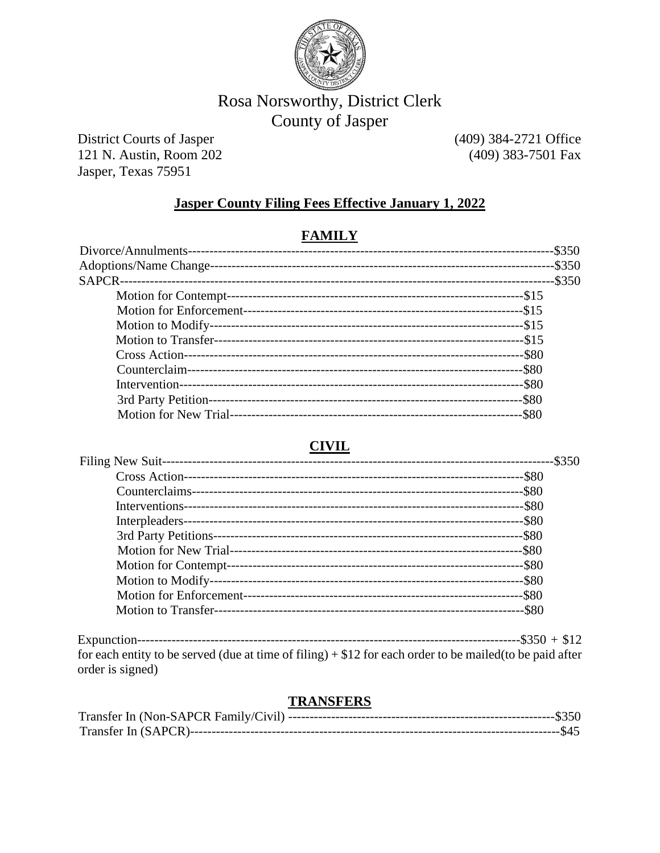

# Rosa Norsworthy, District Clerk County of Jasper

**District Courts of Jasper** 121 N. Austin, Room 202 Jasper, Texas 75951

(409) 384-2721 Office (409) 383-7501 Fax

#### **Jasper County Filing Fees Effective January 1, 2022**

#### **FAMILY**

## **CIVIL**

| -\$350   |
|----------|
| $-$ \$80 |
|          |
|          |
|          |
|          |
|          |
|          |
|          |
|          |
|          |
|          |

for each entity to be served (due at time of filing)  $+ $12$  for each order to be mailed (to be paid after order is signed)

#### **TRANSFERS**